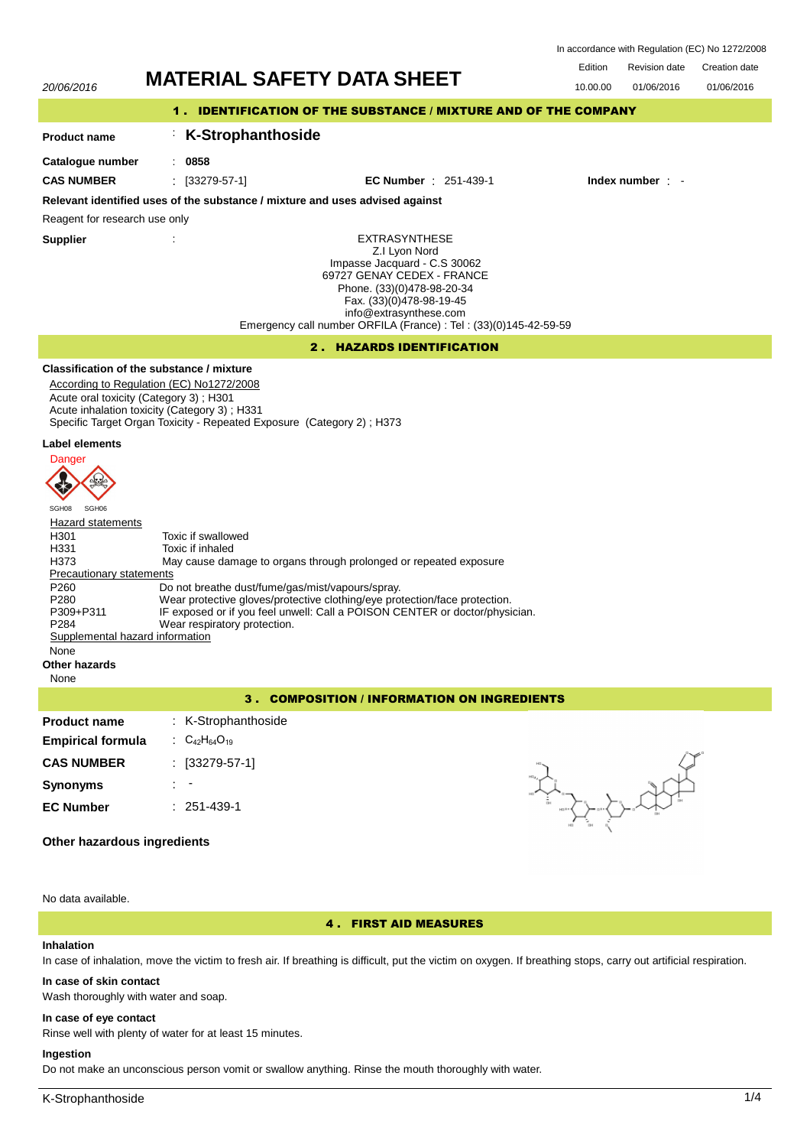In accordance with Regulation (EC) No 1272/2008

# Edition Revision date Creation date **MATERIAL SAFETY DATA SHEET** 10.00.00 01/06/2016 01/06/2016 20/06/2016 **INNIENIAE UAI ET L'AIA UTLET** 1 . IDENTIFICATION OF THE SUBSTANCE / MIXTURE AND OF THE COMPANY : **K-Strophanthoside Product name Catalogue number** : **0858 CAS NUMBER** : [33279-57-1] **EC Number** : 251-439-1 **Index number** : - **Relevant identified uses of the substance / mixture and uses advised against** Reagent for research use only **Supplier** : EXTRASYNTHESE Z.I Lyon Nord Impasse Jacquard - C.S 30062 69727 GENAY CEDEX - FRANCE Phone. (33)(0)478-98-20-34 Fax. (33)(0)478-98-19-45 info@extrasynthese.com Emergency call number ORFILA (France) : Tel : (33)(0)145-42-59-59 2 . HAZARDS IDENTIFICATION **Classification of the substance / mixture** According to Regulation (EC) No1272/2008 Acute oral toxicity (Category 3) ; H301 Acute inhalation toxicity (Category 3) ; H331 Specific Target Organ Toxicity - Repeated Exposure (Category 2) ; H373 **Label elements Danger CH** SGH08 SGH06 **Hazard statements** H301 Toxic if swallowed<br>H331 Toxic if inhaled H331 Toxic if inhaled<br>H373 May cause dan May cause damage to organs through prolonged or repeated exposure Precautionary statements P260 Do not breathe dust/fume/gas/mist/vapours/spray.<br>P280 Wear protective gloves/protective clothing/eye pro P280 Wear protective gloves/protective clothing/eye protection/face protection.<br>P309+P311 IF exposed or if you feel unwell: Call a POISON CENTER or doctor/physi P309+P311 IF exposed or if you feel unwell: Call a POISON CENTER or doctor/physician.<br>P284 Wear respiratory protection Wear respiratory protection. Supplemental hazard information None **Other hazards** None 3 . COMPOSITION / INFORMATION ON INGREDIENTS **Product name** : K-Strophanthoside **Empirical formula** :  $C_{42}H_{64}O_{19}$ **ANTIFICIAL CAS NUMBER** : [33279-57-1] **Synonyms** : - **EC Number** : 251-439-1 **Other hazardous ingredients**

No data available.

# 4 . FIRST AID MEASURES

# **Inhalation**

In case of inhalation, move the victim to fresh air. If breathing is difficult, put the victim on oxygen. If breathing stops, carry out artificial respiration.

## **In case of skin contact**

Wash thoroughly with water and soap.

# **In case of eye contact**

Rinse well with plenty of water for at least 15 minutes.

# **Ingestion**

Do not make an unconscious person vomit or swallow anything. Rinse the mouth thoroughly with water.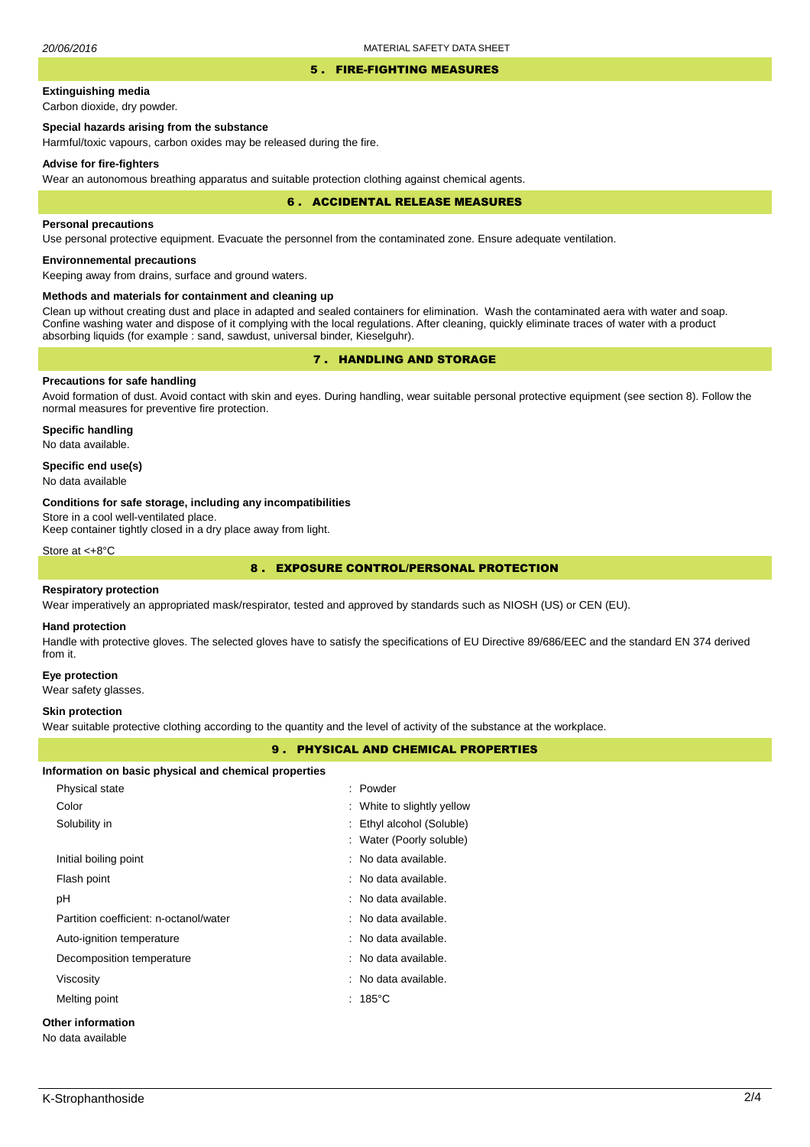#### 5 . FIRE-FIGHTING MEASURES

# **Extinguishing media**

Carbon dioxide, dry powder.

# **Special hazards arising from the substance**

Harmful/toxic vapours, carbon oxides may be released during the fire.

### **Advise for fire-fighters**

Wear an autonomous breathing apparatus and suitable protection clothing against chemical agents.

#### 6 . ACCIDENTAL RELEASE MEASURES

### **Personal precautions**

Use personal protective equipment. Evacuate the personnel from the contaminated zone. Ensure adequate ventilation.

# **Environnemental precautions**

Keeping away from drains, surface and ground waters.

### **Methods and materials for containment and cleaning up**

Clean up without creating dust and place in adapted and sealed containers for elimination. Wash the contaminated aera with water and soap. Confine washing water and dispose of it complying with the local regulations. After cleaning, quickly eliminate traces of water with a product absorbing liquids (for example : sand, sawdust, universal binder, Kieselguhr).

# 7 . HANDLING AND STORAGE

# **Precautions for safe handling**

Avoid formation of dust. Avoid contact with skin and eyes. During handling, wear suitable personal protective equipment (see section 8). Follow the normal measures for preventive fire protection.

**Specific handling** No data available.

## **Specific end use(s)**

No data available

#### **Conditions for safe storage, including any incompatibilities**

Store in a cool well-ventilated place.

Keep container tightly closed in a dry place away from light.

Store at <+8°C

# 8 . EXPOSURE CONTROL/PERSONAL PROTECTION

#### **Respiratory protection**

Wear imperatively an appropriated mask/respirator, tested and approved by standards such as NIOSH (US) or CEN (EU).

#### **Hand protection**

Handle with protective gloves. The selected gloves have to satisfy the specifications of EU Directive 89/686/EEC and the standard EN 374 derived from it.

## **Eye protection**

Wear safety glasses.

#### **Skin protection**

Wear suitable protective clothing according to the quantity and the level of activity of the substance at the workplace.

## 9 . PHYSICAL AND CHEMICAL PROPERTIES

#### **Information on basic physical and chemical properties**

| Physical state                         | $:$ Powder                      |  |
|----------------------------------------|---------------------------------|--|
| Color                                  | : White to slightly yellow      |  |
| Solubility in                          | : Ethyl alcohol (Soluble)       |  |
|                                        | : Water (Poorly soluble)        |  |
| Initial boiling point                  | : No data available.            |  |
| Flash point                            | : No data available.            |  |
| рH                                     | $\therefore$ No data available. |  |
| Partition coefficient: n-octanol/water | : No data available.            |  |
| Auto-ignition temperature              | : No data available.            |  |
| Decomposition temperature              | : No data available.            |  |
| Viscosity                              | $\therefore$ No data available. |  |
| Melting point                          | $: 185^{\circ}$ C               |  |
| Other information                      |                                 |  |
| No data available                      |                                 |  |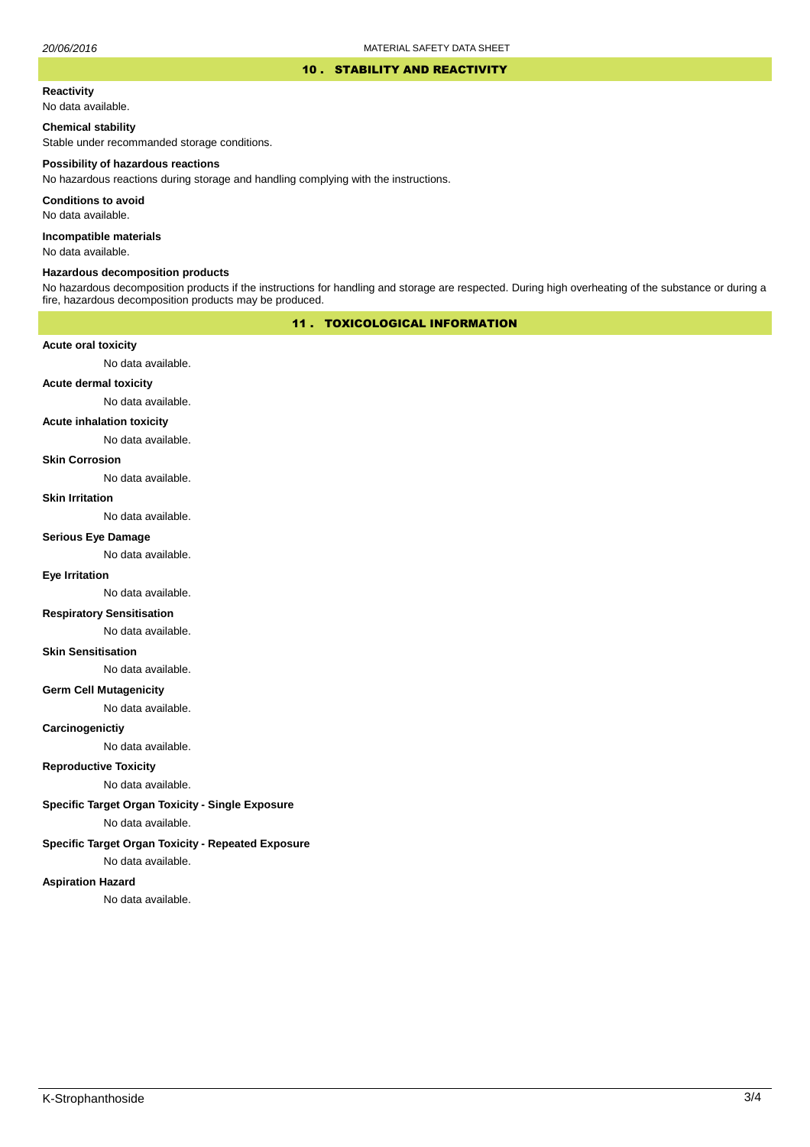### 10 . STABILITY AND REACTIVITY

#### **Reactivity**

No data available.

## **Chemical stability**

Stable under recommanded storage conditions.

#### **Possibility of hazardous reactions**

No hazardous reactions during storage and handling complying with the instructions.

**Conditions to avoid**

No data available.

**Incompatible materials**

No data available.

#### **Hazardous decomposition products**

No hazardous decomposition products if the instructions for handling and storage are respected. During high overheating of the substance or during a fire, hazardous decomposition products may be produced.

# 11 . TOXICOLOGICAL INFORMATION

## **Acute oral toxicity**

No data available.

# **Acute dermal toxicity**

No data available.

## **Acute inhalation toxicity**

No data available.

## **Skin Corrosion**

No data available.

#### **Skin Irritation**

No data available.

## **Serious Eye Damage**

No data available.

# **Eye Irritation**

No data available.

## **Respiratory Sensitisation**

No data available.

### **Skin Sensitisation**

No data available.

## **Germ Cell Mutagenicity**

No data available.

## **Carcinogenictiy**

No data available.

# **Reproductive Toxicity**

No data available.

# **Specific Target Organ Toxicity - Single Exposure**

No data available.

## **Specific Target Organ Toxicity - Repeated Exposure**

No data available.

### **Aspiration Hazard**

No data available.